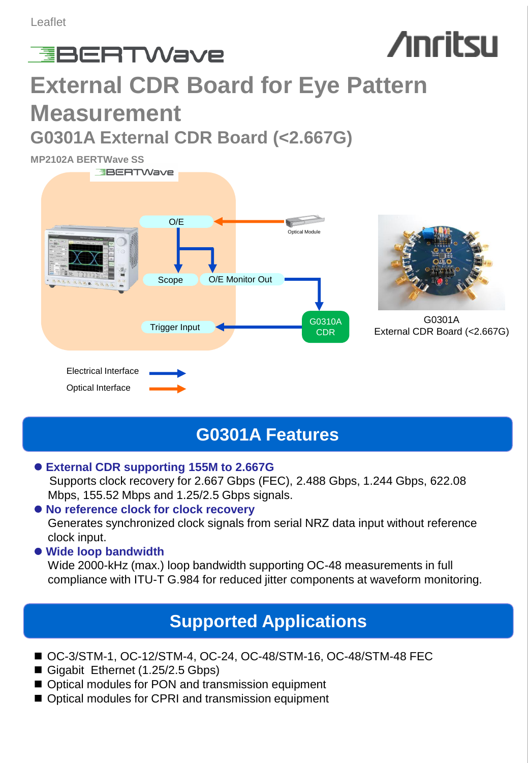# **Anritsu EBERTWave External CDR Board for Eye Pattern Measurement G0301A External CDR Board (<2.667G)**

**MP2102A BERTWave SS**



## **G0301A Features**

#### **External CDR supporting 155M to 2.667G**

 Supports clock recovery for 2.667 Gbps (FEC), 2.488 Gbps, 1.244 Gbps, 622.08 Mbps, 155.52 Mbps and 1.25/2.5 Gbps signals.

#### **No reference clock for clock recovery**

Generates synchronized clock signals from serial NRZ data input without reference clock input.

#### **Wide loop bandwidth**

Wide 2000-kHz (max.) loop bandwidth supporting OC-48 measurements in full compliance with ITU-T G.984 for reduced jitter components at waveform monitoring.

## **Supported Applications**

- OC-3/STM-1, OC-12/STM-4, OC-24, OC-48/STM-16, OC-48/STM-48 FEC
- Gigabit Ethernet (1.25/2.5 Gbps)
- Optical modules for PON and transmission equipment
- Optical modules for CPRI and transmission equipment